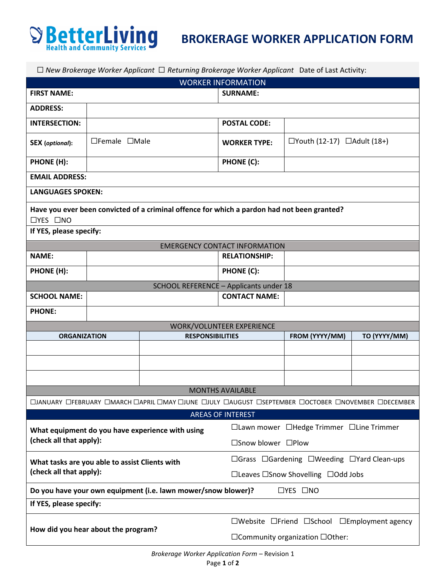

| $\Box$ New Brokerage Worker Applicant $\Box$ Returning Brokerage Worker Applicant Date of Last Activity:            |                                      |  |                                          |                                                                                 |  |  |
|---------------------------------------------------------------------------------------------------------------------|--------------------------------------|--|------------------------------------------|---------------------------------------------------------------------------------|--|--|
| <b>WORKER INFORMATION</b>                                                                                           |                                      |  |                                          |                                                                                 |  |  |
| <b>FIRST NAME:</b>                                                                                                  |                                      |  | <b>SURNAME:</b>                          |                                                                                 |  |  |
| <b>ADDRESS:</b>                                                                                                     |                                      |  |                                          |                                                                                 |  |  |
| <b>INTERSECTION:</b>                                                                                                |                                      |  | <b>POSTAL CODE:</b>                      |                                                                                 |  |  |
| <b>SEX</b> (optional):                                                                                              | □Female □Male                        |  | <b>WORKER TYPE:</b>                      | $\Box$ Youth (12-17) $\Box$ Adult (18+)                                         |  |  |
| PHONE (H):                                                                                                          |                                      |  | <b>PHONE (C):</b>                        |                                                                                 |  |  |
| <b>EMAIL ADDRESS:</b>                                                                                               |                                      |  |                                          |                                                                                 |  |  |
| <b>LANGUAGES SPOKEN:</b>                                                                                            |                                      |  |                                          |                                                                                 |  |  |
| Have you ever been convicted of a criminal offence for which a pardon had not been granted?<br>$\Box$ YES $\Box$ NO |                                      |  |                                          |                                                                                 |  |  |
| If YES, please specify:                                                                                             |                                      |  |                                          |                                                                                 |  |  |
|                                                                                                                     | <b>EMERGENCY CONTACT INFORMATION</b> |  |                                          |                                                                                 |  |  |
| <b>NAME:</b>                                                                                                        |                                      |  | <b>RELATIONSHIP:</b>                     |                                                                                 |  |  |
| PHONE (H):                                                                                                          |                                      |  | PHONE (C):                               |                                                                                 |  |  |
| SCHOOL REFERENCE - Applicants under 18                                                                              |                                      |  |                                          |                                                                                 |  |  |
| <b>SCHOOL NAME:</b>                                                                                                 | <b>CONTACT NAME:</b>                 |  |                                          |                                                                                 |  |  |
| <b>PHONE:</b>                                                                                                       |                                      |  |                                          |                                                                                 |  |  |
| WORK/VOLUNTEER EXPERIENCE                                                                                           |                                      |  |                                          |                                                                                 |  |  |
| <b>ORGANIZATION</b><br><b>RESPONSIBILITIES</b>                                                                      |                                      |  | FROM (YYYY/MM)                           | TO (YYYY/MM)                                                                    |  |  |
|                                                                                                                     |                                      |  |                                          |                                                                                 |  |  |
|                                                                                                                     |                                      |  |                                          |                                                                                 |  |  |
|                                                                                                                     |                                      |  |                                          |                                                                                 |  |  |
| <b>MONTHS AVAILABLE</b>                                                                                             |                                      |  |                                          |                                                                                 |  |  |
| DJANUARY DFEBRUARY DMARCH DAPRIL DMAY DJUNE DJULY DAUGUST DSEPTEMBER DOCTOBER DNOVEMBER DDECEMBER                   |                                      |  |                                          |                                                                                 |  |  |
| <b>AREAS OF INTEREST</b>                                                                                            |                                      |  |                                          |                                                                                 |  |  |
| What equipment do you have experience with using                                                                    |                                      |  | □Lawn mower □Hedge Trimmer □Line Trimmer |                                                                                 |  |  |
| (check all that apply):                                                                                             |                                      |  | □Snow blower □Plow                       |                                                                                 |  |  |
| What tasks are you able to assist Clients with<br>(check all that apply):                                           |                                      |  |                                          | □Grass □Gardening □Weeding □Yard Clean-ups                                      |  |  |
|                                                                                                                     |                                      |  |                                          | □Leaves □Snow Shovelling □Odd Jobs                                              |  |  |
| Do you have your own equipment (i.e. lawn mower/snow blower)?<br>$\Box$ YES $\Box$ NO                               |                                      |  |                                          |                                                                                 |  |  |
| If YES, please specify:                                                                                             |                                      |  |                                          |                                                                                 |  |  |
| How did you hear about the program?                                                                                 |                                      |  |                                          | $\square$ Website $\square$ Friend $\square$ School $\square$ Employment agency |  |  |
|                                                                                                                     |                                      |  |                                          | □Community organization □Other:                                                 |  |  |